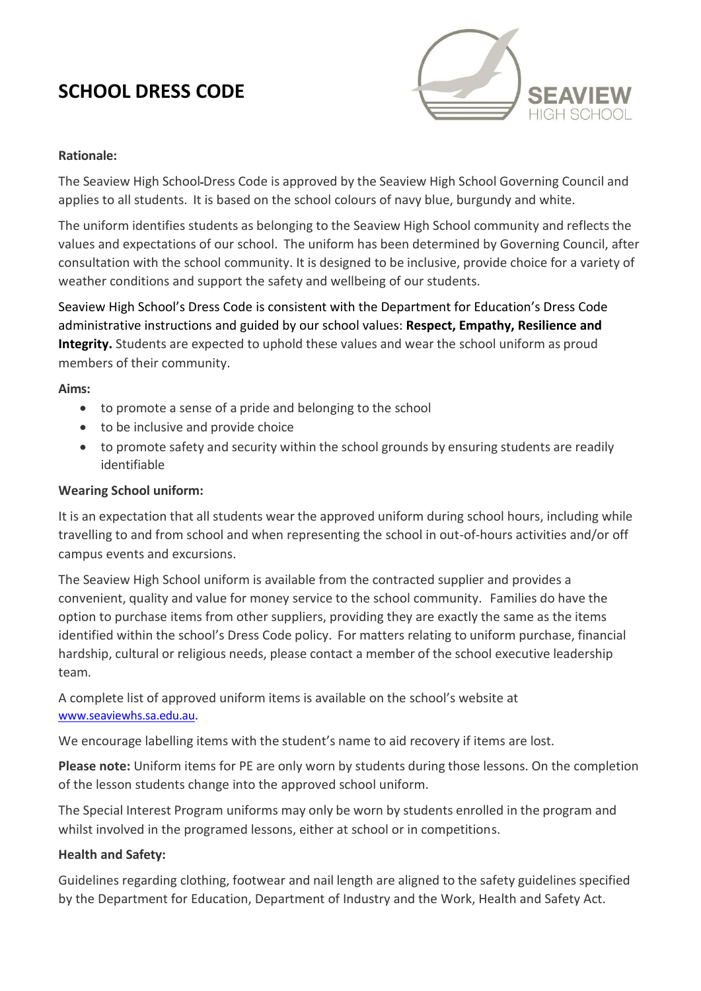# **SCHOOL DRESS CODE**



## **Rationale:**

The Seaview High School-Dress Code is approved by the Seaview High School Governing Council and applies to all students. It is based on the school colours of navy blue, burgundy and white.

The uniform identifies students as belonging to the Seaview High School community and reflects the values and expectations of our school. The uniform has been determined by Governing Council, after consultation with the school community. It is designed to be inclusive, provide choice for a variety of weather conditions and support the safety and wellbeing of our students.

Seaview High School's Dress Code is consistent with the Department for Education's Dress Code administrative instructions and guided by our school values: **Respect, Empathy, Resilience and**  Integrity. Students are expected to uphold these values and wear the school uniform as proud members of their community.

**Aims:**

- to promote a sense of a pride and belonging to the school
- to be inclusive and provide choice
- to promote safety and security within the school grounds by ensuring students are readily identifiable

## **Wearing School uniform:**

It is an expectation that all students wear the approved uniform during school hours, including while travelling to and from school and when representing the school in out-of-hours activities and/or off campus events and excursions.

The Seaview High School uniform is available from the contracted supplier and provides a convenient, quality and value for money service to the school community. Families do have the option to purchase items from other suppliers, providing they are exactly the same as the items identified within the school's Dress Code policy. For matters relating to uniform purchase, financial hardship, cultural or religious needs, please contact a member of the school executive leadership team.

A complete list of approved uniform items is available on the school's website at [www.seaviewhs.sa.edu.au.](http://www.seaviewhs.sa.edu.au/)

We encourage labelling items with the student's name to aid recovery if items are lost.

**Please note:** Uniform items for PE are only worn by students during those lessons. On the completion of the lesson students change into the approved school uniform.

The Special Interest Program uniforms may only be worn by students enrolled in the program and whilst involved in the programed lessons, either at school or in competitions.

#### **Health and Safety:**

Guidelines regarding clothing, footwear and nail length are aligned to the safety guidelines specified by the Department for Education, Department of Industry and the Work, Health and Safety Act.